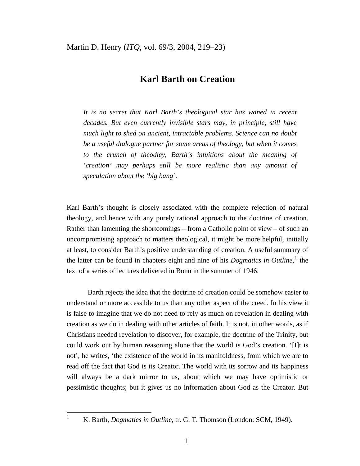## **Karl Barth on Creation**

*It is no secret that Karl Barth's theological star has waned in recent decades. But even currently invisible stars may, in principle, still have much light to shed on ancient, intractable problems. Science can no doubt be a useful dialogue partner for some areas of theology, but when it comes to the crunch of theodicy, Barth's intuitions about the meaning of 'creation' may perhaps still be more realistic than any amount of speculation about the 'big bang'.* 

Karl Barth's thought is closely associated with the complete rejection of natural theology, and hence with any purely rational approach to the doctrine of creation. Rather than lamenting the shortcomings – from a Catholic point of view – of such an uncompromising approach to matters theological, it might be more helpful, initially at least, to consider Barth's positive understanding of creation. A useful summary of the latter can be found in chapters eight and nine of his *Dogmatics in Outline*, [1](#page-0-0) the text of a series of lectures delivered in Bonn in the summer of 1946.

 Barth rejects the idea that the doctrine of creation could be somehow easier to understand or more accessible to us than any other aspect of the creed. In his view it is false to imagine that we do not need to rely as much on revelation in dealing with creation as we do in dealing with other articles of faith. It is not, in other words, as if Christians needed revelation to discover, for example, the doctrine of the Trinity, but could work out by human reasoning alone that the world is God's creation. '[I]t is not', he writes, 'the existence of the world in its manifoldness, from which we are to read off the fact that God is its Creator. The world with its sorrow and its happiness will always be a dark mirror to us, about which we may have optimistic or pessimistic thoughts; but it gives us no information about God as the Creator. But

<span id="page-0-0"></span> $\frac{1}{1}$ 

K. Barth, *Dogmatics in Outline*, tr. G. T. Thomson (London: SCM, 1949).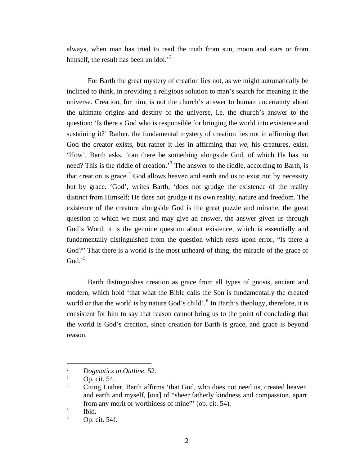always, when man has tried to read the truth from sun, moon and stars or from himself, the result has been an idol.<sup> $2$ </sup>

 For Barth the great mystery of creation lies not, as we might automatically be inclined to think, in providing a religious solution to man's search for meaning in the universe. Creation, for him, is not the church's answer to human uncertainty about the ultimate origins and destiny of the universe, i.e. the church's answer to the question: 'Is there a God who is responsible for bringing the world into existence and sustaining it?' Rather, the fundamental mystery of creation lies not in affirming that God the creator exists, but rather it lies in affirming that *we*, his creatures, exist. 'How', Barth asks, 'can there be something alongside God, of which He has no need? This is the riddle of creation.<sup>[3](#page-1-1)</sup> The answer to the riddle, according to Barth, is that creation is grace.<sup>[4](#page-1-2)</sup> God allows heaven and earth and us to exist not by necessity but by grace. 'God', writes Barth, 'does not grudge the existence of the reality distinct from Himself; He does not grudge it its own reality, nature and freedom. The existence of the creature alongside God is the great puzzle and miracle, the great question to which we must and may give an answer, the answer given us through God's Word; it is the genuine question about existence, which is essentially and fundamentally distinguished from the question which rests upon error, "Is there a God?" That there is a world is the most unheard-of thing, the miracle of the grace of God. $5$ 

 Barth distinguishes creation as grace from all types of gnosis, ancient and modern, which hold 'that what the Bible calls the Son is fundamentally the created world or that the world is by nature God's child'.<sup>[6](#page-1-4)</sup> In Barth's theology, therefore, it is consistent for him to say that reason cannot bring us to the point of concluding that the world is God's creation, since creation for Barth is grace, and grace is beyond reason.

 $\overline{a}$ 

<span id="page-1-0"></span><sup>2</sup> *Dogmatics in Outline*, 52.

<span id="page-1-1"></span><sup>3</sup> Op. cit. 54.

<span id="page-1-2"></span><sup>4</sup> Citing Luther, Barth affirms 'that God, who does not need us, created heaven and earth and myself, [out] of "sheer fatherly kindness and compassion, apart from any merit or worthiness of mine"' (op. cit. 54).

<sup>5</sup> Ibid.

<span id="page-1-4"></span><span id="page-1-3"></span><sup>6</sup> Op. cit. 54f.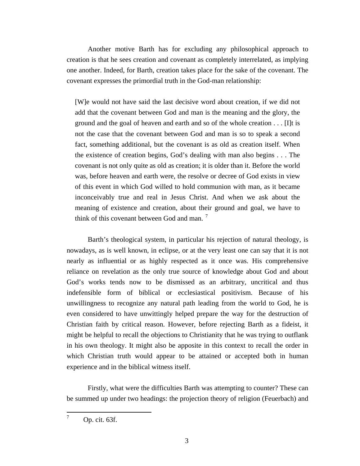Another motive Barth has for excluding any philosophical approach to creation is that he sees creation and covenant as completely interrelated, as implying one another. Indeed, for Barth, creation takes place for the sake of the covenant. The covenant expresses the primordial truth in the God-man relationship:

[W]e would not have said the last decisive word about creation, if we did not add that the covenant between God and man is the meaning and the glory, the ground and the goal of heaven and earth and so of the whole creation . . . [I]t is not the case that the covenant between God and man is so to speak a second fact, something additional, but the covenant is as old as creation itself. When the existence of creation begins, God's dealing with man also begins . . . The covenant is not only quite as old as creation; it is older than it. Before the world was, before heaven and earth were, the resolve or decree of God exists in view of this event in which God willed to hold communion with man, as it became inconceivably true and real in Jesus Christ. And when we ask about the meaning of existence and creation, about their ground and goal, we have to think of this covenant between God and man.  $<sup>7</sup>$  $<sup>7</sup>$  $<sup>7</sup>$ </sup>

 Barth's theological system, in particular his rejection of natural theology, is nowadays, as is well known, in eclipse, or at the very least one can say that it is not nearly as influential or as highly respected as it once was. His comprehensive reliance on revelation as the only true source of knowledge about God and about God's works tends now to be dismissed as an arbitrary, uncritical and thus indefensible form of biblical or ecclesiastical positivism. Because of his unwillingness to recognize any natural path leading from the world to God, he is even considered to have unwittingly helped prepare the way for the destruction of Christian faith by critical reason. However, before rejecting Barth as a fideist, it might be helpful to recall the objections to Christianity that he was trying to outflank in his own theology. It might also be apposite in this context to recall the order in which Christian truth would appear to be attained or accepted both in human experience and in the biblical witness itself.

 Firstly, what were the difficulties Barth was attempting to counter? These can be summed up under two headings: the projection theory of religion (Feuerbach) and

<span id="page-2-0"></span> 7 Op. cit. 63f.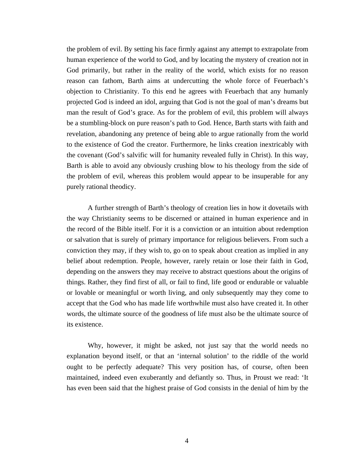the problem of evil. By setting his face firmly against any attempt to extrapolate from human experience of the world to God, and by locating the mystery of creation not in God primarily, but rather in the reality of the world, which exists for no reason reason can fathom, Barth aims at undercutting the whole force of Feuerbach's objection to Christianity. To this end he agrees with Feuerbach that any humanly projected God is indeed an idol, arguing that God is not the goal of man's dreams but man the result of God's grace. As for the problem of evil, this problem will always be a stumbling-block on pure reason's path to God. Hence, Barth starts with faith and revelation, abandoning any pretence of being able to argue rationally from the world to the existence of God the creator. Furthermore, he links creation inextricably with the covenant (God's salvific will for humanity revealed fully in Christ). In this way, Barth is able to avoid any obviously crushing blow to his theology from the side of the problem of evil, whereas this problem would appear to be insuperable for any purely rational theodicy.

 A further strength of Barth's theology of creation lies in how it dovetails with the way Christianity seems to be discerned or attained in human experience and in the record of the Bible itself. For it is a conviction or an intuition about redemption or salvation that is surely of primary importance for religious believers. From such a conviction they may, if they wish to, go on to speak about creation as implied in any belief about redemption. People, however, rarely retain or lose their faith in God, depending on the answers they may receive to abstract questions about the origins of things. Rather, they find first of all, or fail to find, life good or endurable or valuable or lovable or meaningful or worth living, and only subsequently may they come to accept that the God who has made life worthwhile must also have created it. In other words, the ultimate source of the goodness of life must also be the ultimate source of its existence.

 Why, however, it might be asked, not just say that the world needs no explanation beyond itself, or that an 'internal solution' to the riddle of the world ought to be perfectly adequate? This very position has, of course, often been maintained, indeed even exuberantly and defiantly so. Thus, in Proust we read: 'It has even been said that the highest praise of God consists in the denial of him by the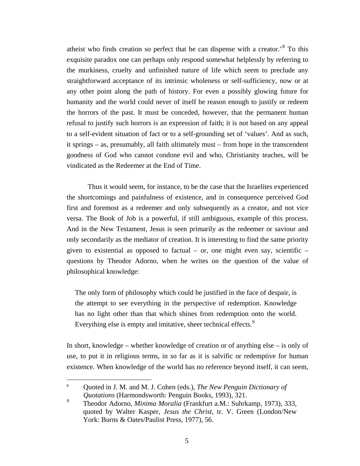atheist who finds creation so perfect that he can dispense with a creator.<sup>[8](#page-4-0)</sup> To this exquisite paradox one can perhaps only respond somewhat helplessly by referring to the murkiness, cruelty and unfinished nature of life which seem to preclude any straightforward acceptance of its intrinsic wholeness or self-sufficiency, now or at any other point along the path of history. For even a possibly glowing future for humanity and the world could never of itself be reason enough to justify or redeem the horrors of the past. It must be conceded, however, that the permanent human refusal to justify such horrors is an expression of faith; it is not based on any appeal to a self-evident situation of fact or to a self-grounding set of 'values'. And as such, it springs – as, presumably, all faith ultimately must – from hope in the transcendent goodness of God who cannot condone evil and who, Christianity teaches, will be vindicated as the Redeemer at the End of Time.

 Thus it would seem, for instance, to be the case that the Israelites experienced the shortcomings and painfulness of existence, and in consequence perceived God first and foremost as a redeemer and only subsequently as a creator, and not vice versa. The Book of Job is a powerful, if still ambiguous, example of this process. And in the New Testament, Jesus is seen primarily as the redeemer or saviour and only secondarily as the mediator of creation. It is interesting to find the same priority given to existential as opposed to factual – or, one might even say, scientific – questions by Theodor Adorno, when he writes on the question of the value of philosophical knowledge:

The only form of philosophy which could be justified in the face of despair, is the attempt to see everything in the perspective of redemption. Knowledge has no light other than that which shines from redemption onto the world. Everything else is empty and imitative, sheer technical effects.<sup>[9](#page-4-1)</sup>

In short, knowledge – whether knowledge of creation or of anything else – is only of use, to put it in religious terms, in so far as it is salvific or redemptive for human existence. When knowledge of the world has no reference beyond itself, it can seem,

 $\overline{a}$ 

<span id="page-4-0"></span><sup>8</sup> Quoted in J. M. and M. J. Cohen (eds.), *The New Penguin Dictionary of Quotations* (Harmondsworth: Penguin Books, 1993), 321.

<span id="page-4-1"></span><sup>9</sup> Theodor Adorno, *Minima Moralia* (Frankfurt a.M.: Suhrkamp, 1973), 333, quoted by Walter Kasper, *Jesus the Christ*, tr. V. Green (London/New York: Burns & Oates/Paulist Press, 1977), 56.